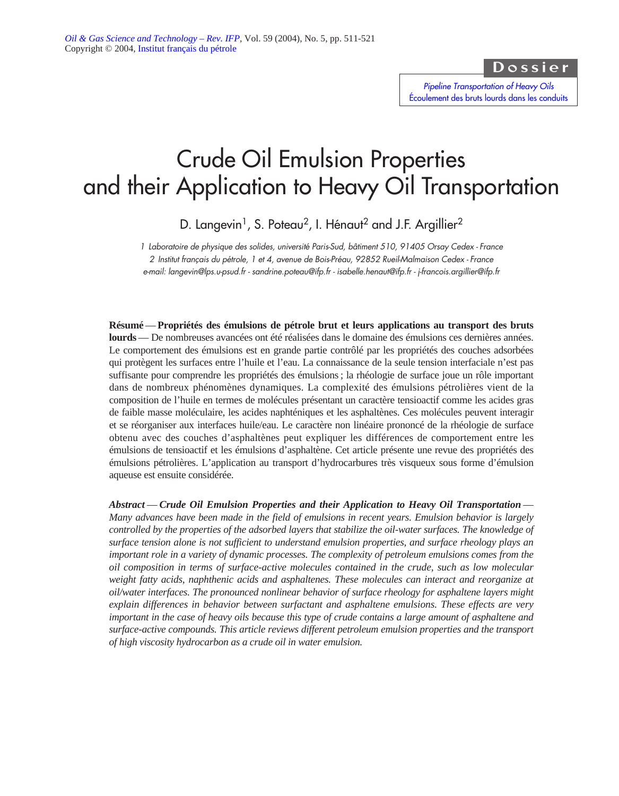Dossier

*Pipeline Transportation of Heavy Oils* [Écoulement des bruts lourds dans les conduits](http://ogst.ifp.fr/index.php?option=toc&url=/articles/ogst/abs/2004/05/contents/contents.html)

# Crude Oil Emulsion Properties and their Application to Heavy Oil Transportation

D. Langevin<sup>1</sup>, S. Poteau<sup>2</sup>, I. Hénaut<sup>2</sup> and J.F. Argillier<sup>2</sup>

*1 Laboratoire de physique des solides, université Paris-Sud, bâtiment 510, 91405 Orsay Cedex - France 2 Institut français du pétrole, 1 et 4, avenue de Bois-Préau, 92852 Rueil-Malmaison Cedex - France e-mail: langevin@lps.u-psud.fr - sandrine.poteau@ifp.fr - isabelle.henaut@ifp.fr - j-francois.argillier@ifp.fr*

**Résumé** — **Propriétés des émulsions de pétrole brut et leurs applications au transport des bruts lourds** — De nombreuses avancées ont été réalisées dans le domaine des émulsions ces dernières années. Le comportement des émulsions est en grande partie contrôlé par les propriétés des couches adsorbées qui protègent les surfaces entre l'huile et l'eau. La connaissance de la seule tension interfaciale n'est pas suffisante pour comprendre les propriétés des émulsions ; la rhéologie de surface joue un rôle important dans de nombreux phénomènes dynamiques. La complexité des émulsions pétrolières vient de la composition de l'huile en termes de molécules présentant un caractère tensioactif comme les acides gras de faible masse moléculaire, les acides naphténiques et les asphaltènes. Ces molécules peuvent interagir et se réorganiser aux interfaces huile/eau. Le caractère non linéaire prononcé de la rhéologie de surface obtenu avec des couches d'asphaltènes peut expliquer les différences de comportement entre les émulsions de tensioactif et les émulsions d'asphaltène. Cet article présente une revue des propriétés des émulsions pétrolières. L'application au transport d'hydrocarbures très visqueux sous forme d'émulsion aqueuse est ensuite considérée.

*Abstract* — *Crude Oil Emulsion Properties and their Application to Heavy Oil Transportation* — *Many advances have been made in the field of emulsions in recent years. Emulsion behavior is largely controlled by the properties of the adsorbed layers that stabilize the oil-water surfaces. The knowledge of surface tension alone is not sufficient to understand emulsion properties, and surface rheology plays an important role in a variety of dynamic processes. The complexity of petroleum emulsions comes from the oil composition in terms of surface-active molecules contained in the crude, such as low molecular weight fatty acids, naphthenic acids and asphaltenes. These molecules can interact and reorganize at oil/water interfaces. The pronounced nonlinear behavior of surface rheology for asphaltene layers might explain differences in behavior between surfactant and asphaltene emulsions. These effects are very important in the case of heavy oils because this type of crude contains a large amount of asphaltene and surface-active compounds. This article reviews different petroleum emulsion properties and the transport of high viscosity hydrocarbon as a crude oil in water emulsion.*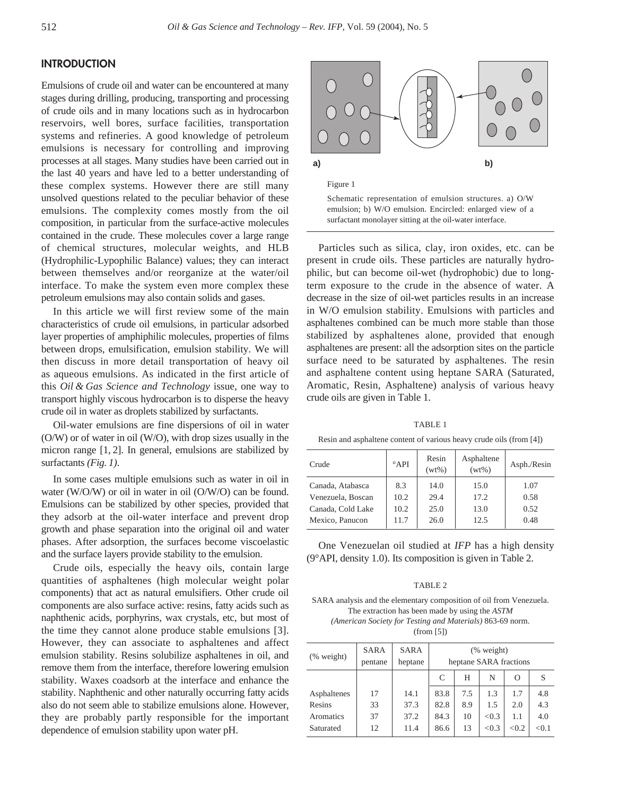# **INTRODUCTION**

Emulsions of crude oil and water can be encountered at many stages during drilling, producing, transporting and processing of crude oils and in many locations such as in hydrocarbon reservoirs, well bores, surface facilities, transportation systems and refineries. A good knowledge of petroleum emulsions is necessary for controlling and improving processes at all stages. Many studies have been carried out in the last 40 years and have led to a better understanding of these complex systems. However there are still many unsolved questions related to the peculiar behavior of these emulsions. The complexity comes mostly from the oil composition, in particular from the surface-active molecules contained in the crude. These molecules cover a large range of chemical structures, molecular weights, and HLB (Hydrophilic-Lypophilic Balance) values; they can interact between themselves and/or reorganize at the water/oil interface. To make the system even more complex these petroleum emulsions may also contain solids and gases.

In this article we will first review some of the main characteristics of crude oil emulsions, in particular adsorbed layer properties of amphiphilic molecules, properties of films between drops, emulsification, emulsion stability. We will then discuss in more detail transportation of heavy oil as aqueous emulsions. As indicated in the first article of this *Oil & Gas Science and Technology* issue, one way to transport highly viscous hydrocarbon is to disperse the heavy crude oil in water as droplets stabilized by surfactants.

Oil-water emulsions are fine dispersions of oil in water (O/W) or of water in oil (W/O), with drop sizes usually in the micron range [1, 2]. In general, emulsions are stabilized by surfactants *(Fig. 1)*.

In some cases multiple emulsions such as water in oil in water (W/O/W) or oil in water in oil (O/W/O) can be found. Emulsions can be stabilized by other species, provided that they adsorb at the oil-water interface and prevent drop growth and phase separation into the original oil and water phases. After adsorption, the surfaces become viscoelastic and the surface layers provide stability to the emulsion.

Crude oils, especially the heavy oils, contain large quantities of asphaltenes (high molecular weight polar components) that act as natural emulsifiers. Other crude oil components are also surface active: resins, fatty acids such as naphthenic acids, porphyrins, wax crystals, etc, but most of the time they cannot alone produce stable emulsions [3]. However, they can associate to asphaltenes and affect emulsion stability. Resins solubilize asphaltenes in oil, and remove them from the interface, therefore lowering emulsion stability. Waxes coadsorb at the interface and enhance the stability. Naphthenic and other naturally occurring fatty acids also do not seem able to stabilize emulsions alone. However, they are probably partly responsible for the important dependence of emulsion stability upon water pH.



Particles such as silica, clay, iron oxides, etc. can be present in crude oils. These particles are naturally hydrophilic, but can become oil-wet (hydrophobic) due to longterm exposure to the crude in the absence of water. A decrease in the size of oil-wet particles results in an increase in W/O emulsion stability. Emulsions with particles and asphaltenes combined can be much more stable than those stabilized by asphaltenes alone, provided that enough asphaltenes are present: all the adsorption sites on the particle surface need to be saturated by asphaltenes. The resin and asphaltene content using heptane SARA (Saturated, Aromatic, Resin, Asphaltene) analysis of various heavy crude oils are given in Table 1.

TABLE 1

Resin and asphaltene content of various heavy crude oils (from [4])

| Crude             | $^{\circ}$ API | Resin<br>$(wt\%)$ | Asphaltene<br>$(wt\%)$ | Asph./Resin |  |
|-------------------|----------------|-------------------|------------------------|-------------|--|
| Canada, Atabasca  | 8.3            | 14.0              | 15.0                   | 1.07        |  |
| Venezuela, Boscan | 10.2           | 29.4              | 17.2                   | 0.58        |  |
| Canada, Cold Lake | 10.2           | 25.0              | 13.0                   | 0.52        |  |
| Mexico, Panucon   | 11.7           | 26.0              | 12.5                   | 0.48        |  |

One Venezuelan oil studied at *IFP* has a high density (9°API, density 1.0). Its composition is given in Table 2.

#### TABLE 2

SARA analysis and the elementary composition of oil from Venezuela. The extraction has been made by using the *ASTM (American Society for Testing and Materials)* 863-69 norm. (from [5])

| $%$ weight) | SARA<br>pentane | SARA<br>heptane | $(% \mathbf{A})$ (% weight)<br>heptane SARA fractions |     |       |          |       |  |
|-------------|-----------------|-----------------|-------------------------------------------------------|-----|-------|----------|-------|--|
|             |                 |                 | C                                                     | Н   | N     | $\Omega$ | S     |  |
| Asphaltenes | 17              | 14.1            | 83.8                                                  | 7.5 | 1.3   | 1.7      | 4.8   |  |
| Resins      | 33              | 37.3            | 82.8                                                  | 8.9 | 1.5   | 2.0      | 4.3   |  |
| Aromatics   | 37              | 37.2            | 84.3                                                  | 10  | < 0.3 | 1.1      | 4.0   |  |
| Saturated   | 12              | 11.4            | 86.6                                                  | 13  | < 0.3 | < 0.2    | < 0.1 |  |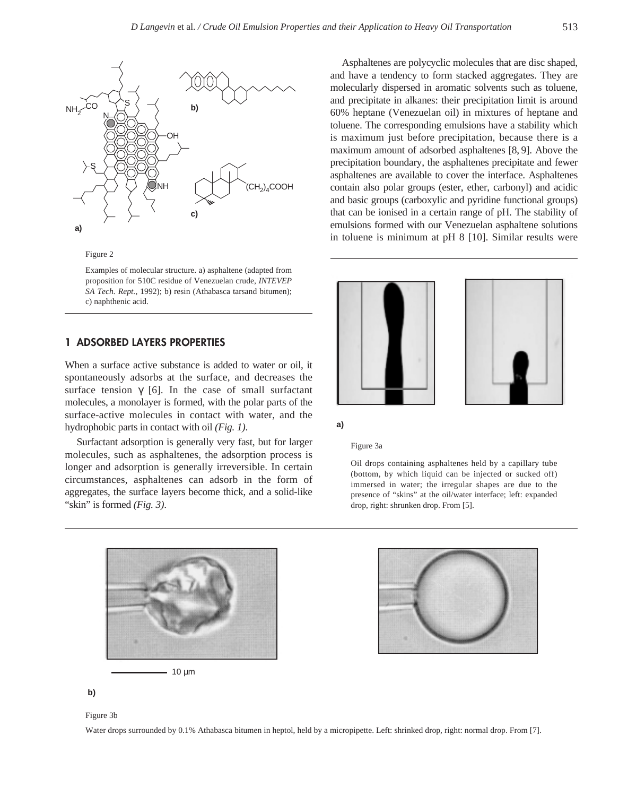

Figure 2

Examples of molecular structure. a) asphaltene (adapted from proposition for 510C residue of Venezuelan crude, *INTEVEP SA Tech. Rept.*, 1992); b) resin (Athabasca tarsand bitumen); c) naphthenic acid.

# **1 ADSORBED LAYERS PROPERTIES**

When a surface active substance is added to water or oil, it spontaneously adsorbs at the surface, and decreases the surface tension  $\gamma$  [6]. In the case of small surfactant molecules, a monolayer is formed, with the polar parts of the surface-active molecules in contact with water, and the hydrophobic parts in contact with oil *(Fig. 1)*.

Surfactant adsorption is generally very fast, but for larger molecules, such as asphaltenes, the adsorption process is longer and adsorption is generally irreversible. In certain circumstances, asphaltenes can adsorb in the form of aggregates, the surface layers become thick, and a solid-like "skin" is formed *(Fig. 3)*.

Asphaltenes are polycyclic molecules that are disc shaped, and have a tendency to form stacked aggregates. They are molecularly dispersed in aromatic solvents such as toluene, and precipitate in alkanes: their precipitation limit is around 60% heptane (Venezuelan oil) in mixtures of heptane and toluene. The corresponding emulsions have a stability which is maximum just before precipitation, because there is a maximum amount of adsorbed asphaltenes [8, 9]. Above the precipitation boundary, the asphaltenes precipitate and fewer asphaltenes are available to cover the interface. Asphaltenes contain also polar groups (ester, ether, carbonyl) and acidic and basic groups (carboxylic and pyridine functional groups) that can be ionised in a certain range of pH. The stability of emulsions formed with our Venezuelan asphaltene solutions in toluene is minimum at pH 8 [10]. Similar results were



**a)**

#### Figure 3a

Oil drops containing asphaltenes held by a capillary tube (bottom, by which liquid can be injected or sucked off) immersed in water; the irregular shapes are due to the presence of "skins" at the oil/water interface; left: expanded drop, right: shrunken drop. From [5].





**b)**

Figure 3b

Water drops surrounded by 0.1% Athabasca bitumen in heptol, held by a micropipette. Left: shrinked drop, right: normal drop. From [7].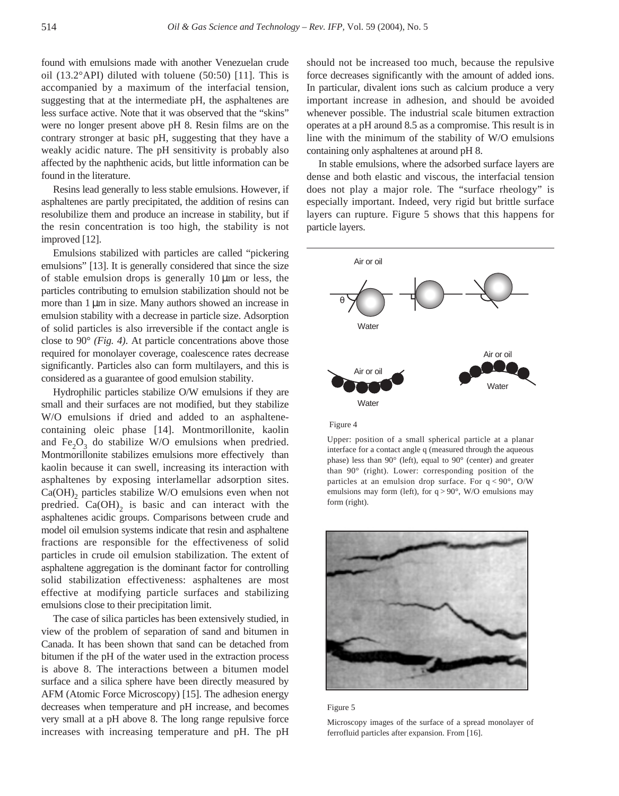found with emulsions made with another Venezuelan crude oil (13.2°API) diluted with toluene (50:50) [11]. This is accompanied by a maximum of the interfacial tension, suggesting that at the intermediate pH, the asphaltenes are less surface active. Note that it was observed that the "skins" were no longer present above pH 8. Resin films are on the contrary stronger at basic pH, suggesting that they have a weakly acidic nature. The pH sensitivity is probably also affected by the naphthenic acids, but little information can be found in the literature.

Resins lead generally to less stable emulsions. However, if asphaltenes are partly precipitated, the addition of resins can resolubilize them and produce an increase in stability, but if the resin concentration is too high, the stability is not improved [12].

Emulsions stabilized with particles are called "pickering emulsions" [13]. It is generally considered that since the size of stable emulsion drops is generally  $10 \mu m$  or less, the particles contributing to emulsion stabilization should not be more than 1 µm in size. Many authors showed an increase in emulsion stability with a decrease in particle size. Adsorption of solid particles is also irreversible if the contact angle is close to 90° *(Fig. 4)*. At particle concentrations above those required for monolayer coverage, coalescence rates decrease significantly. Particles also can form multilayers, and this is considered as a guarantee of good emulsion stability.

Hydrophilic particles stabilize O/W emulsions if they are small and their surfaces are not modified, but they stabilize W/O emulsions if dried and added to an asphaltenecontaining oleic phase [14]. Montmorillonite, kaolin and  $Fe<sub>2</sub>O<sub>2</sub>$  do stabilize W/O emulsions when predried. Montmorillonite stabilizes emulsions more effectively than kaolin because it can swell, increasing its interaction with asphaltenes by exposing interlamellar adsorption sites.  $Ca(OH)$ <sub>2</sub> particles stabilize W/O emulsions even when not predried.  $Ca(OH)$ <sub>2</sub> is basic and can interact with the asphaltenes acidic groups. Comparisons between crude and model oil emulsion systems indicate that resin and asphaltene fractions are responsible for the effectiveness of solid particles in crude oil emulsion stabilization. The extent of asphaltene aggregation is the dominant factor for controlling solid stabilization effectiveness: asphaltenes are most effective at modifying particle surfaces and stabilizing emulsions close to their precipitation limit.

The case of silica particles has been extensively studied, in view of the problem of separation of sand and bitumen in Canada. It has been shown that sand can be detached from bitumen if the pH of the water used in the extraction process is above 8. The interactions between a bitumen model surface and a silica sphere have been directly measured by AFM (Atomic Force Microscopy) [15]. The adhesion energy decreases when temperature and pH increase, and becomes very small at a pH above 8. The long range repulsive force increases with increasing temperature and pH. The pH should not be increased too much, because the repulsive force decreases significantly with the amount of added ions. In particular, divalent ions such as calcium produce a very important increase in adhesion, and should be avoided whenever possible. The industrial scale bitumen extraction operates at a pH around 8.5 as a compromise. This result is in line with the minimum of the stability of W/O emulsions containing only asphaltenes at around pH 8.

In stable emulsions, where the adsorbed surface layers are dense and both elastic and viscous, the interfacial tension does not play a major role. The "surface rheology" is especially important. Indeed, very rigid but brittle surface layers can rupture. Figure 5 shows that this happens for particle layers.



#### Figure 4

Upper: position of a small spherical particle at a planar interface for a contact angle q (measured through the aqueous phase) less than 90° (left), equal to 90° (center) and greater than 90° (right). Lower: corresponding position of the particles at an emulsion drop surface. For  $q < 90^\circ$ , O/W emulsions may form (left), for  $q > 90^\circ$ , W/O emulsions may form (right).





Microscopy images of the surface of a spread monolayer of ferrofluid particles after expansion. From [16].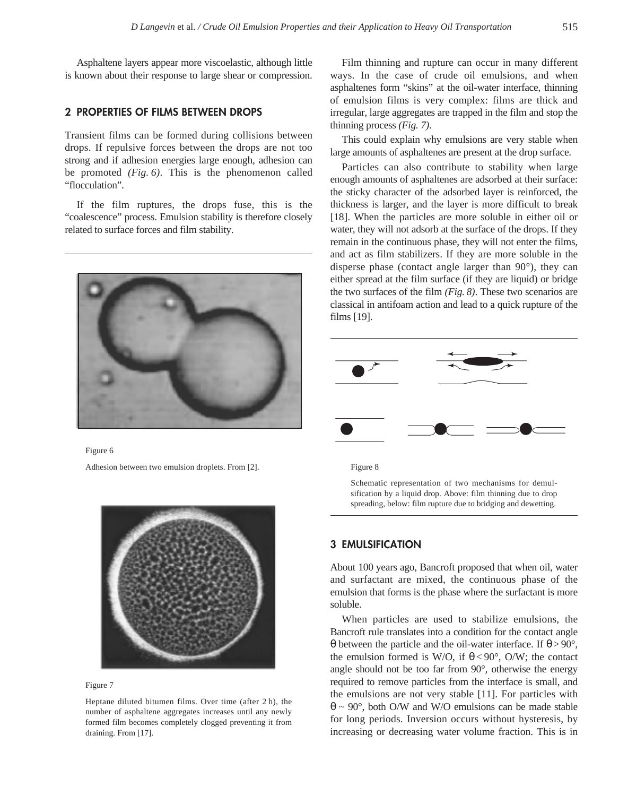Asphaltene layers appear more viscoelastic, although little is known about their response to large shear or compression.

## **2 PROPERTIES OF FILMS BETWEEN DROPS**

Transient films can be formed during collisions between drops. If repulsive forces between the drops are not too strong and if adhesion energies large enough, adhesion can be promoted *(Fig. 6)*. This is the phenomenon called "flocculation".

If the film ruptures, the drops fuse, this is the "coalescence" process. Emulsion stability is therefore closely related to surface forces and film stability.



Figure 6

Adhesion between two emulsion droplets. From [2].





Heptane diluted bitumen films. Over time (after 2 h), the number of asphaltene aggregates increases until any newly formed film becomes completely clogged preventing it from draining. From [17].

Film thinning and rupture can occur in many different ways. In the case of crude oil emulsions, and when asphaltenes form "skins" at the oil-water interface, thinning of emulsion films is very complex: films are thick and irregular, large aggregates are trapped in the film and stop the thinning process *(Fig. 7)*.

This could explain why emulsions are very stable when large amounts of asphaltenes are present at the drop surface.

Particles can also contribute to stability when large enough amounts of asphaltenes are adsorbed at their surface: the sticky character of the adsorbed layer is reinforced, the thickness is larger, and the layer is more difficult to break [18]. When the particles are more soluble in either oil or water, they will not adsorb at the surface of the drops. If they remain in the continuous phase, they will not enter the films, and act as film stabilizers. If they are more soluble in the disperse phase (contact angle larger than 90°), they can either spread at the film surface (if they are liquid) or bridge the two surfaces of the film *(Fig. 8)*. These two scenarios are classical in antifoam action and lead to a quick rupture of the films [19].



Figure 8

Schematic representation of two mechanisms for demulsification by a liquid drop. Above: film thinning due to drop spreading, below: film rupture due to bridging and dewetting.

# **3 EMULSIFICATION**

About 100 years ago, Bancroft proposed that when oil, water and surfactant are mixed, the continuous phase of the emulsion that forms is the phase where the surfactant is more soluble.

When particles are used to stabilize emulsions, the Bancroft rule translates into a condition for the contact angle θ between the particle and the oil-water interface. If θ > 90°, the emulsion formed is W/O, if  $\theta < 90^{\circ}$ , O/W; the contact angle should not be too far from 90°, otherwise the energy required to remove particles from the interface is small, and the emulsions are not very stable [11]. For particles with  $\theta \sim 90^{\circ}$ , both O/W and W/O emulsions can be made stable for long periods. Inversion occurs without hysteresis, by increasing or decreasing water volume fraction. This is in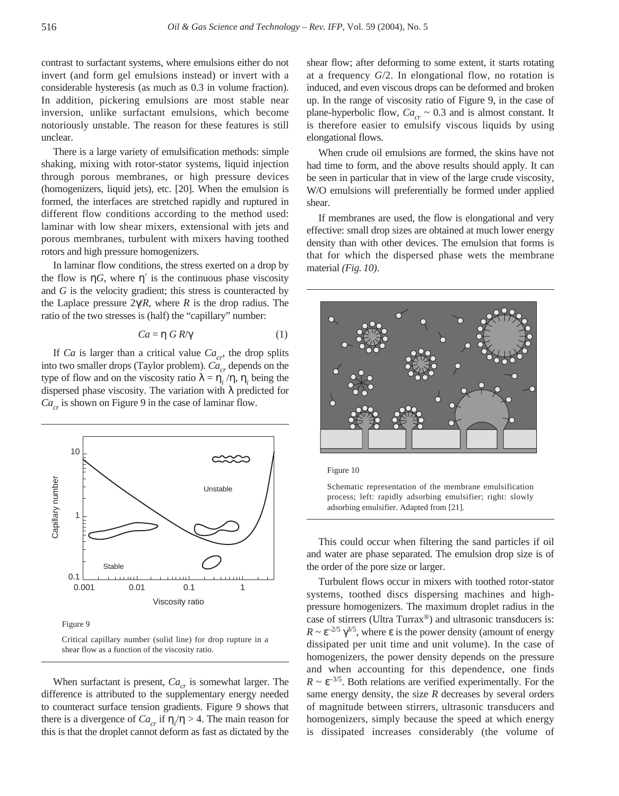contrast to surfactant systems, where emulsions either do not invert (and form gel emulsions instead) or invert with a considerable hysteresis (as much as 0.3 in volume fraction). In addition, pickering emulsions are most stable near inversion, unlike surfactant emulsions, which become notoriously unstable. The reason for these features is still unclear.

There is a large variety of emulsification methods: simple shaking, mixing with rotor-stator systems, liquid injection through porous membranes, or high pressure devices (homogenizers, liquid jets), etc. [20]. When the emulsion is formed, the interfaces are stretched rapidly and ruptured in different flow conditions according to the method used: laminar with low shear mixers, extensional with jets and porous membranes, turbulent with mixers having toothed rotors and high pressure homogenizers.

In laminar flow conditions, the stress exerted on a drop by the flow is  $\eta G$ , where  $\eta'$  is the continuous phase viscosity and *G* is the velocity gradient; this stress is counteracted by the Laplace pressure  $2\gamma/R$ , where *R* is the drop radius. The ratio of the two stresses is (half) the "capillary" number:

$$
Ca = \eta \, GR/\gamma \tag{1}
$$

If *Ca* is larger than a critical value  $Ca_{cr}$ , the drop splits into two smaller drops (Taylor problem).  $Ca_{cr}$  depends on the type of flow and on the viscosity ratio  $λ = η<sub>i</sub>/η, η<sub>i</sub>$  being the dispersed phase viscosity. The variation with  $\lambda$  predicted for  $Ca_{cr}$  is shown on Figure 9 in the case of laminar flow.



Figure 9

Critical capillary number (solid line) for drop rupture in a shear flow as a function of the viscosity ratio.

When surfactant is present,  $Ca_{cr}$  is somewhat larger. The difference is attributed to the supplementary energy needed to counteract surface tension gradients. Figure 9 shows that there is a divergence of  $Ca_{cr}$  if  $\eta/\eta > 4$ . The main reason for this is that the droplet cannot deform as fast as dictated by the

shear flow; after deforming to some extent, it starts rotating at a frequency *G*/2. In elongational flow, no rotation is induced, and even viscous drops can be deformed and broken up. In the range of viscosity ratio of Figure 9, in the case of plane-hyperbolic flow,  $Ca_{cr} \sim 0.3$  and is almost constant. It is therefore easier to emulsify viscous liquids by using elongational flows.

When crude oil emulsions are formed, the skins have not had time to form, and the above results should apply. It can be seen in particular that in view of the large crude viscosity, W/O emulsions will preferentially be formed under applied shear.

If membranes are used, the flow is elongational and very effective: small drop sizes are obtained at much lower energy density than with other devices. The emulsion that forms is that for which the dispersed phase wets the membrane material *(Fig. 10)*.



Figure 10

Schematic representation of the membrane emulsification process; left: rapidly adsorbing emulsifier; right: slowly adsorbing emulsifier. Adapted from [21].

This could occur when filtering the sand particles if oil and water are phase separated. The emulsion drop size is of the order of the pore size or larger.

Turbulent flows occur in mixers with toothed rotor-stator systems, toothed discs dispersing machines and highpressure homogenizers. The maximum droplet radius in the case of stirrers (Ultra Turrax®) and ultrasonic transducers is:  $R \sim \varepsilon^{-2/5} \gamma^{3/5}$ , where  $\varepsilon$  is the power density (amount of energy dissipated per unit time and unit volume). In the case of homogenizers, the power density depends on the pressure and when accounting for this dependence, one finds  $R \sim \varepsilon^{-3/5}$ . Both relations are verified experimentally. For the same energy density, the size *R* decreases by several orders of magnitude between stirrers, ultrasonic transducers and homogenizers, simply because the speed at which energy is dissipated increases considerably (the volume of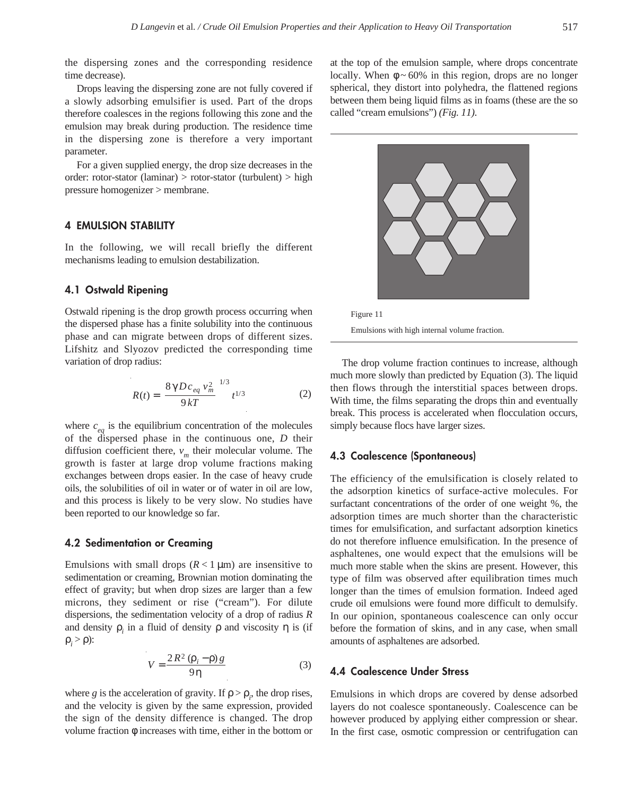the dispersing zones and the corresponding residence time decrease).

Drops leaving the dispersing zone are not fully covered if a slowly adsorbing emulsifier is used. Part of the drops therefore coalesces in the regions following this zone and the emulsion may break during production. The residence time in the dispersing zone is therefore a very important parameter.

For a given supplied energy, the drop size decreases in the order: rotor-stator (laminar) > rotor-stator (turbulent) > high pressure homogenizer > membrane.

## **4 EMULSION STABILITY**

In the following, we will recall briefly the different mechanisms leading to emulsion destabilization.

# **4.1 Ostwald Ripening**

Ostwald ripening is the drop growth process occurring when the dispersed phase has a finite solubility into the continuous phase and can migrate between drops of different sizes. Lifshitz and Slyozov predicted the corresponding time variation of drop radius:

$$
R(t) = \left(\frac{8\,\gamma\,D\,c_{eq}\,v_m^2}{9\,kT}\right)^{1/3}t^{1/3} \tag{2}
$$

where  $c_{eq}$  is the equilibrium concentration of the molecules of the dispersed phase in the continuous one, *D* their diffusion coefficient there,  $v_m$  their molecular volume. The growth is faster at large drop volume fractions making exchanges between drops easier. In the case of heavy crude oils, the solubilities of oil in water or of water in oil are low, and this process is likely to be very slow. No studies have been reported to our knowledge so far.

#### **4.2 Sedimentation or Creaming**

Emulsions with small drops  $(R < 1 \mu m)$  are insensitive to sedimentation or creaming, Brownian motion dominating the effect of gravity; but when drop sizes are larger than a few microns, they sediment or rise ("cream"). For dilute dispersions, the sedimentation velocity of a drop of radius *R* and density  $\rho$ , in a fluid of density  $\rho$  and viscosity  $\eta$  is (if  $ρ<sub>i</sub> > ρ$ ):

$$
V = \frac{2R^2 (\rho_i - \rho) g}{9\eta} \tag{3}
$$

where *g* is the acceleration of gravity. If  $\rho > \rho_i$ , the drop rises, and the velocity is given by the same expression, provided the sign of the density difference is changed. The drop volume fraction φ increases with time, either in the bottom or at the top of the emulsion sample, where drops concentrate locally. When  $\phi \sim 60\%$  in this region, drops are no longer spherical, they distort into polyhedra, the flattened regions between them being liquid films as in foams (these are the so called "cream emulsions") *(Fig. 11)*.





The drop volume fraction continues to increase, although much more slowly than predicted by Equation (3). The liquid then flows through the interstitial spaces between drops. With time, the films separating the drops thin and eventually break. This process is accelerated when flocculation occurs, simply because flocs have larger sizes.

# **4.3 Coalescence (Spontaneous)**

The efficiency of the emulsification is closely related to the adsorption kinetics of surface-active molecules. For surfactant concentrations of the order of one weight %, the adsorption times are much shorter than the characteristic times for emulsification, and surfactant adsorption kinetics do not therefore influence emulsification. In the presence of asphaltenes, one would expect that the emulsions will be much more stable when the skins are present. However, this type of film was observed after equilibration times much longer than the times of emulsion formation. Indeed aged crude oil emulsions were found more difficult to demulsify. In our opinion, spontaneous coalescence can only occur before the formation of skins, and in any case, when small amounts of asphaltenes are adsorbed.

## **4.4 Coalescence Under Stress**

Emulsions in which drops are covered by dense adsorbed layers do not coalesce spontaneously. Coalescence can be however produced by applying either compression or shear. In the first case, osmotic compression or centrifugation can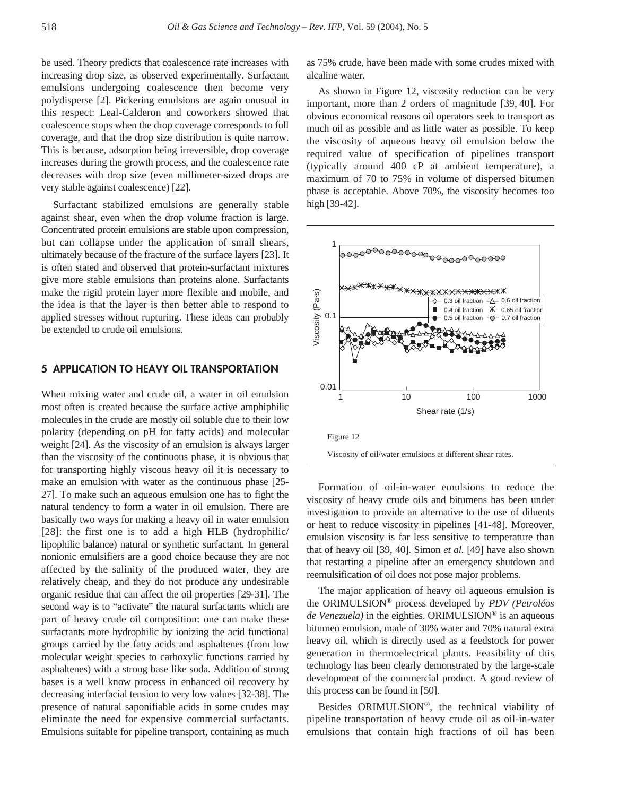be used. Theory predicts that coalescence rate increases with increasing drop size, as observed experimentally. Surfactant emulsions undergoing coalescence then become very polydisperse [2]. Pickering emulsions are again unusual in this respect: Leal-Calderon and coworkers showed that coalescence stops when the drop coverage corresponds to full coverage, and that the drop size distribution is quite narrow. This is because, adsorption being irreversible, drop coverage increases during the growth process, and the coalescence rate decreases with drop size (even millimeter-sized drops are very stable against coalescence) [22].

Surfactant stabilized emulsions are generally stable against shear, even when the drop volume fraction is large. Concentrated protein emulsions are stable upon compression, but can collapse under the application of small shears, ultimately because of the fracture of the surface layers [23]. It is often stated and observed that protein-surfactant mixtures give more stable emulsions than proteins alone. Surfactants make the rigid protein layer more flexible and mobile, and the idea is that the layer is then better able to respond to applied stresses without rupturing. These ideas can probably be extended to crude oil emulsions.

# **5 APPLICATION TO HEAVY OIL TRANSPORTATION**

When mixing water and crude oil, a water in oil emulsion most often is created because the surface active amphiphilic molecules in the crude are mostly oil soluble due to their low polarity (depending on pH for fatty acids) and molecular weight [24]. As the viscosity of an emulsion is always larger than the viscosity of the continuous phase, it is obvious that for transporting highly viscous heavy oil it is necessary to make an emulsion with water as the continuous phase [25- 27]. To make such an aqueous emulsion one has to fight the natural tendency to form a water in oil emulsion. There are basically two ways for making a heavy oil in water emulsion [28]: the first one is to add a high HLB (hydrophilic/ lipophilic balance) natural or synthetic surfactant. In general nonionic emulsifiers are a good choice because they are not affected by the salinity of the produced water, they are relatively cheap, and they do not produce any undesirable organic residue that can affect the oil properties [29-31]. The second way is to "activate" the natural surfactants which are part of heavy crude oil composition: one can make these surfactants more hydrophilic by ionizing the acid functional groups carried by the fatty acids and asphaltenes (from low molecular weight species to carboxylic functions carried by asphaltenes) with a strong base like soda. Addition of strong bases is a well know process in enhanced oil recovery by decreasing interfacial tension to very low values [32-38]. The presence of natural saponifiable acids in some crudes may eliminate the need for expensive commercial surfactants. Emulsions suitable for pipeline transport, containing as much as 75% crude, have been made with some crudes mixed with alcaline water.

As shown in Figure 12, viscosity reduction can be very important, more than 2 orders of magnitude [39, 40]. For obvious economical reasons oil operators seek to transport as much oil as possible and as little water as possible. To keep the viscosity of aqueous heavy oil emulsion below the required value of specification of pipelines transport (typically around 400 cP at ambient temperature), a maximum of 70 to 75% in volume of dispersed bitumen phase is acceptable. Above 70%, the viscosity becomes too high [39-42].



Viscosity of oil/water emulsions at different shear rates.

Formation of oil-in-water emulsions to reduce the viscosity of heavy crude oils and bitumens has been under investigation to provide an alternative to the use of diluents or heat to reduce viscosity in pipelines [41-48]. Moreover, emulsion viscosity is far less sensitive to temperature than that of heavy oil [39, 40]. Simon *et al.* [49] have also shown that restarting a pipeline after an emergency shutdown and reemulsification of oil does not pose major problems.

The major application of heavy oil aqueous emulsion is the ORIMULSION® process developed by *PDV (Petroléos de Venezuela)* in the eighties. ORIMULSION® is an aqueous bitumen emulsion, made of 30% water and 70% natural extra heavy oil, which is directly used as a feedstock for power generation in thermoelectrical plants. Feasibility of this technology has been clearly demonstrated by the large-scale development of the commercial product. A good review of this process can be found in [50].

Besides ORIMULSION®, the technical viability of pipeline transportation of heavy crude oil as oil-in-water emulsions that contain high fractions of oil has been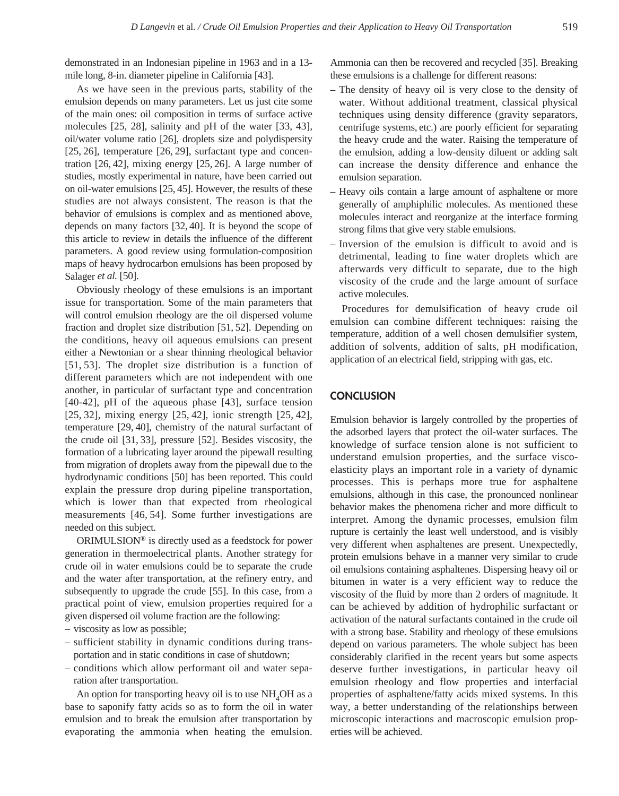demonstrated in an Indonesian pipeline in 1963 and in a 13 mile long, 8-in. diameter pipeline in California [43].

As we have seen in the previous parts, stability of the emulsion depends on many parameters. Let us just cite some of the main ones: oil composition in terms of surface active molecules [25, 28], salinity and pH of the water [33, 43], oil/water volume ratio [26], droplets size and polydispersity [25, 26], temperature [26, 29], surfactant type and concentration [26, 42], mixing energy [25, 26]. A large number of studies, mostly experimental in nature, have been carried out on oil-water emulsions [25, 45]. However, the results of these studies are not always consistent. The reason is that the behavior of emulsions is complex and as mentioned above, depends on many factors [32, 40]. It is beyond the scope of this article to review in details the influence of the different parameters. A good review using formulation-composition maps of heavy hydrocarbon emulsions has been proposed by Salager *et al.* [50].

Obviously rheology of these emulsions is an important issue for transportation. Some of the main parameters that will control emulsion rheology are the oil dispersed volume fraction and droplet size distribution [51, 52]. Depending on the conditions, heavy oil aqueous emulsions can present either a Newtonian or a shear thinning rheological behavior [51, 53]. The droplet size distribution is a function of different parameters which are not independent with one another, in particular of surfactant type and concentration [40-42], pH of the aqueous phase [43], surface tension [25, 32], mixing energy [25, 42], ionic strength [25, 42], temperature [29, 40], chemistry of the natural surfactant of the crude oil [31, 33], pressure [52]. Besides viscosity, the formation of a lubricating layer around the pipewall resulting from migration of droplets away from the pipewall due to the hydrodynamic conditions [50] has been reported. This could explain the pressure drop during pipeline transportation, which is lower than that expected from rheological measurements [46, 54]. Some further investigations are needed on this subject.

ORIMULSION® is directly used as a feedstock for power generation in thermoelectrical plants. Another strategy for crude oil in water emulsions could be to separate the crude and the water after transportation, at the refinery entry, and subsequently to upgrade the crude [55]. In this case, from a practical point of view, emulsion properties required for a given dispersed oil volume fraction are the following:

- viscosity as low as possible;
- sufficient stability in dynamic conditions during transportation and in static conditions in case of shutdown;
- conditions which allow performant oil and water separation after transportation.

An option for transporting heavy oil is to use  $NH<sub>4</sub>OH$  as a base to saponify fatty acids so as to form the oil in water emulsion and to break the emulsion after transportation by evaporating the ammonia when heating the emulsion. Ammonia can then be recovered and recycled [35]. Breaking these emulsions is a challenge for different reasons:

- The density of heavy oil is very close to the density of water. Without additional treatment, classical physical techniques using density difference (gravity separators, centrifuge systems, etc.) are poorly efficient for separating the heavy crude and the water. Raising the temperature of the emulsion, adding a low-density diluent or adding salt can increase the density difference and enhance the emulsion separation.
- Heavy oils contain a large amount of asphaltene or more generally of amphiphilic molecules. As mentioned these molecules interact and reorganize at the interface forming strong films that give very stable emulsions.
- Inversion of the emulsion is difficult to avoid and is detrimental, leading to fine water droplets which are afterwards very difficult to separate, due to the high viscosity of the crude and the large amount of surface active molecules.

Procedures for demulsification of heavy crude oil emulsion can combine different techniques: raising the temperature, addition of a well chosen demulsifier system, addition of solvents, addition of salts, pH modification, application of an electrical field, stripping with gas, etc.

# **CONCLUSION**

Emulsion behavior is largely controlled by the properties of the adsorbed layers that protect the oil-water surfaces. The knowledge of surface tension alone is not sufficient to understand emulsion properties, and the surface viscoelasticity plays an important role in a variety of dynamic processes. This is perhaps more true for asphaltene emulsions, although in this case, the pronounced nonlinear behavior makes the phenomena richer and more difficult to interpret. Among the dynamic processes, emulsion film rupture is certainly the least well understood, and is visibly very different when asphaltenes are present. Unexpectedly, protein emulsions behave in a manner very similar to crude oil emulsions containing asphaltenes. Dispersing heavy oil or bitumen in water is a very efficient way to reduce the viscosity of the fluid by more than 2 orders of magnitude. It can be achieved by addition of hydrophilic surfactant or activation of the natural surfactants contained in the crude oil with a strong base. Stability and rheology of these emulsions depend on various parameters. The whole subject has been considerably clarified in the recent years but some aspects deserve further investigations, in particular heavy oil emulsion rheology and flow properties and interfacial properties of asphaltene/fatty acids mixed systems. In this way, a better understanding of the relationships between microscopic interactions and macroscopic emulsion properties will be achieved.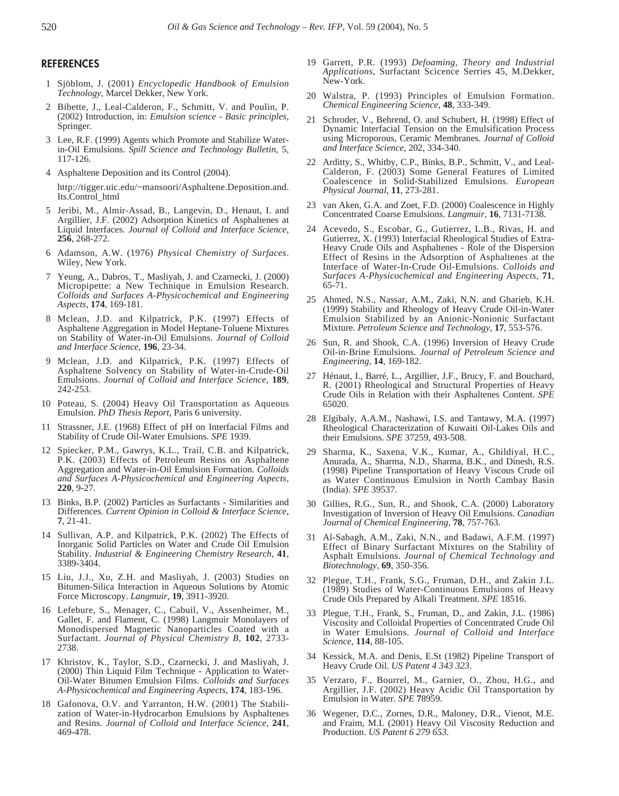#### **REFERENCES**

- 01 Sjöblom, J. (2001) *Encyclopedic Handbook of Emulsion Technology*, Marcel Dekker, New York.
- 02 Bibette, J., Leal-Calderon, F., Schmitt, V. and Poulin, P. (2002) Introduction, in: *Emulsion science - Basic principles*, Springer.
- 03 Lee, R.F. (1999) Agents which Promote and Stabilize Waterin-Oil Emulsions. *Spill Science and Technology Bulletin*, 5, 117-126.
- 4 Asphaltene Deposition and its Control (2004).

http://tigger.uic.edu/~mansoori/Asphaltene.Deposition.and. Its.Control\_html

- 05 Jeribi, M., Almir-Assad, B., Langevin, D., Henaut, I. and Argillier, J.F. (2002) Adsorption Kinetics of Asphaltenes at Liquid Interfaces. *Journal of Colloid and Interface Science*, **<sup>256</sup>**, 268-272.
- 06 Adamson, A.W. (1976) *Physical Chemistry of Surfaces*. Wiley, New York.
- 07 Yeung, A., Dabros, T., Masliyah, J. and Czarnecki, J. (2000) Micropipette: a New Technique in Emulsion Research. *Colloids and Surfaces A-Physicochemical and Engineering Aspects*, **174**, 169-181.
- 08 Mclean, J.D. and Kilpatrick, P.K. (1997) Effects of Asphaltene Aggregation in Model Heptane-Toluene Mixtures on Stability of Water-in-Oil Emulsions. *Journal of Colloid and Interface Science*, **196**, 23-34.
- 09 Mclean, J.D. and Kilpatrick, P.K. (1997) Effects of Asphaltene Solvency on Stability of Water-in-Crude-Oil Emulsions. *Journal of Colloid and Interface Science*, **189**, 242-253.
- 10 Poteau, S. (2004) Heavy Oil Transportation as Aqueous Emulsion. *PhD Thesis Report*, Paris 6 university.
- 11 Strassner, J.E. (1968) Effect of pH on Interfacial Films and Stability of Crude Oil-Water Emulsions. *SPE* 1939.
- 12 Spiecker, P.M., Gawrys, K.L., Trail, C.B. and Kilpatrick, P.K. (2003) Effects of Petroleum Resins on Asphaltene Aggregation and Water-in-Oil Emulsion Formation. *Colloids and Surfaces A-Physicochemical and Engineering Aspects*, **220**, 9-27.
- 13 Binks, B.P. (2002) Particles as Surfactants Similarities and Differences. *Current Opinion in Colloid & Interface Science*, **7**, 21-41.
- 14 Sullivan, A.P. and Kilpatrick, P.K. (2002) The Effects of Inorganic Solid Particles on Water and Crude Oil Emulsion Stability. *Industrial & Engineering Chemistry Research*, **41**, 3389-3404.
- 15 Liu, J.J., Xu, Z.H. and Masliyah, J. (2003) Studies on Bitumen-Silica Interaction in Aqueous Solutions by Atomic Force Microscopy. *Langmuir*, **19**, 3911-3920.
- 16 Lefebure, S., Menager, C., Cabuil, V., Assenheimer, M., Gallet, F. and Flament, C. (1998) Langmuir Monolayers of Monodispersed Magnetic Nanoparticles Coated with a Surfactant. *Journal of Physical Chemistry B*, **102**, 2733- 2738.
- 17 Khristov, K., Taylor, S.D., Czarnecki, J. and Masliyah, J. (2000) Thin Liquid Film Technique - Application to Water-Oil-Water Bitumen Emulsion Films. *Colloids and Surfaces A-Physicochemical and Engineering Aspects*, **174**, 183-196.
- 18 Gafonova, O.V. and Yarranton, H.W. (2001) The Stabilization of Water-in-Hydrocarbon Emulsions by Asphaltenes and Resins. *Journal of Colloid and Interface Science*, **241**, 469-478.
- 19 Garrett, P.R. (1993) *Defoaming, Theory and Industrial Applications*, Surfactant Scicence Serries 45, M.Dekker, New-York.
- 20 Walstra, P. (1993) Principles of Emulsion Formation. *Chemical Engineering Science*, **48**, 333-349.
- 21 Schroder, V., Behrend, O. and Schubert, H. (1998) Effect of Dynamic Interfacial Tension on the Emulsification Process using Microporous, Ceramic Membranes. *Journal of Colloid and Interface Science*, 202, 334-340.
- 22 Arditty, S., Whitby, C.P., Binks, B.P., Schmitt, V., and Leal-Calderon, F. (2003) Some General Features of Limited Coalescence in Solid-Stabilized Emulsions. *European Physical Journal*, **11**, 273-281.
- 23 van Aken, G.A. and Zoet, F.D. (2000) Coalescence in Highly Concentrated Coarse Emulsions. *Langmuir*, **16**, 7131-7138.
- 24 Acevedo, S., Escobar, G., Gutierrez, L.B., Rivas, H. and Gutierrez, X. (1993) Interfacial Rheological Studies of Extra-Heavy Crude Oils and Asphaltenes - Role of the Dispersion Effect of Resins in the Adsorption of Asphaltenes at the Interface of Water-In-Crude Oil-Emulsions. *Colloids and Surfaces A-Physicochemical and Engineering Aspects*, **71**, 65-71.
- 25 Ahmed, N.S., Nassar, A.M., Zaki, N.N. and Gharieb, K.H. (1999) Stability and Rheology of Heavy Crude Oil-in-Water Emulsion Stabilized by an Anionic-Nonionic Surfactant Mixture. *Petroleum Science and Technology*, **17**, 553-576.
- 26 Sun, R. and Shook, C.A. (1996) Inversion of Heavy Crude Oil-in-Brine Emulsions. *Journal of Petroleum Science and Engineering*, **14**, 169-182.
- 27 Hénaut, I., Barré, L., Argillier, J.F., Brucy, F. and Bouchard, R. (2001) Rheological and Structural Properties of Heavy Crude Oils in Relation with their Asphaltenes Content. *SPE* 65020.
- 28 Elgibaly, A.A.M., Nashawi, I.S. and Tantawy, M.A. (1997) Rheological Characterization of Kuwaiti Oil-Lakes Oils and their Emulsions. *SPE* 37259, 493-508.
- 29 Sharma, K., Saxena, V.K., Kumar, A., Ghildiyal, H.C., Anurada, A., Sharma, N.D., Sharma, B.K., and Dinesh, R.S. (1998) Pipeline Transportation of Heavy Viscous Crude oil as Water Continuous Emulsion in North Cambay Basin (India). *SPE* 39537.
- 30 Gillies, R.G., Sun, R., and Shook, C.A. (2000) Laboratory Investigation of Inversion of Heavy Oil Emulsions. *Canadian Journal of Chemical Engineering*, **78**, 757-763.
- 31 Al-Sabagh, A.M., Zaki, N.N., and Badawi, A.F.M. (1997) Effect of Binary Surfactant Mixtures on the Stability of Asphalt Emulsions. *Journal of Chemical Technology and Biotechnology*, **69**, 350-356.
- 32 Plegue, T.H., Frank, S.G., Fruman, D.H., and Zakin J.L. (1989) Studies of Water-Continuous Emulsions of Heavy Crude Oils Prepared by Alkali Treatment. *SPE* 18516.
- 33 Plegue, T.H., Frank, S., Fruman, D., and Zakin, J.L. (1986) Viscosity and Colloidal Properties of Concentrated Crude Oil in Water Emulsions. *Journal of Colloid and Interface Science*, **114**, 88-105.
- 34 Kessick, M.A. and Denis, E.St (1982) Pipeline Transport of Heavy Crude Oil. *US Patent 4 343 323*.
- 35 Verzaro, F., Bourrel, M., Garnier, O., Zhou, H.G., and Argillier, J.F. (2002) Heavy Acidic Oil Transportation by Emulsion in Water. *SPE* **7**8959.
- 36 Wegener, D.C., Zornes, D.R., Maloney, D.R., Vienot, M.E. and Fraim, M.L (2001) Heavy Oil Viscosity Reduction and Production. *US Patent 6 279 653*.